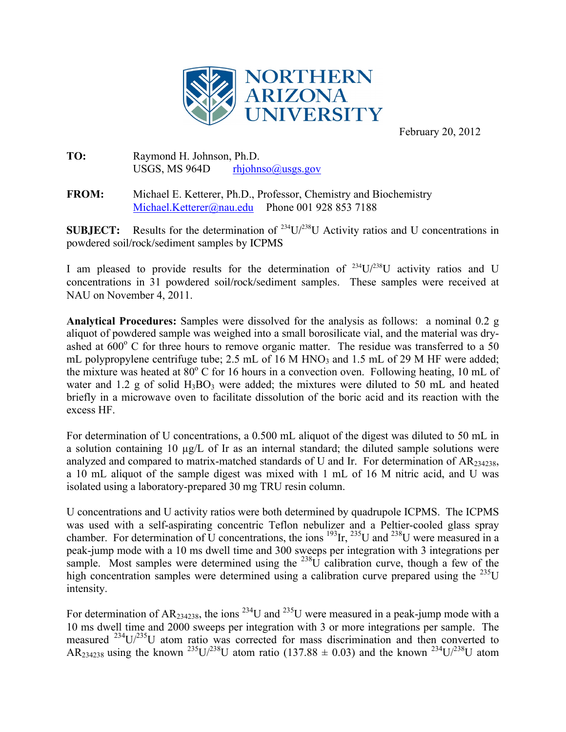

February 20, 2012

## **TO:** Raymond H. Johnson, Ph.D. USGS, MS 964D rhjohnso $@$ usgs.gov

**FROM:** Michael E. Ketterer, Ph.D., Professor, Chemistry and Biochemistry Michael.Ketterer@nau.edu Phone 001 928 853 7188

**SUBJECT:** Results for the determination of  $^{234}U/^{238}U$  Activity ratios and U concentrations in powdered soil/rock/sediment samples by ICPMS

I am pleased to provide results for the determination of  $^{234}U^{238}U$  activity ratios and U concentrations in 31 powdered soil/rock/sediment samples. These samples were received at NAU on November 4, 2011.

**Analytical Procedures:** Samples were dissolved for the analysis as follows: a nominal 0.2 g aliquot of powdered sample was weighed into a small borosilicate vial, and the material was dryashed at  $600^{\circ}$  C for three hours to remove organic matter. The residue was transferred to a 50 mL polypropylene centrifuge tube; 2.5 mL of 16 M HNO<sub>3</sub> and 1.5 mL of 29 M HF were added; the mixture was heated at  $80^{\circ}$  C for 16 hours in a convection oven. Following heating, 10 mL of water and  $1.2$  g of solid  $H_3BO_3$  were added; the mixtures were diluted to 50 mL and heated briefly in a microwave oven to facilitate dissolution of the boric acid and its reaction with the excess HF.

For determination of U concentrations, a 0.500 mL aliquot of the digest was diluted to 50 mL in a solution containing 10  $\mu$ g/L of Ir as an internal standard; the diluted sample solutions were analyzed and compared to matrix-matched standards of U and Ir. For determination of  $AR_{234238}$ , a 10 mL aliquot of the sample digest was mixed with 1 mL of 16 M nitric acid, and U was isolated using a laboratory-prepared 30 mg TRU resin column.

U concentrations and U activity ratios were both determined by quadrupole ICPMS. The ICPMS was used with a self-aspirating concentric Teflon nebulizer and a Peltier-cooled glass spray chamber. For determination of U concentrations, the ions  $^{193}$ Ir,  $^{235}$ U and  $^{238}$ U were measured in a peak-jump mode with a 10 ms dwell time and 300 sweeps per integration with 3 integrations per sample. Most samples were determined using the  $^{238}$ U calibration curve, though a few of the high concentration samples were determined using a calibration curve prepared using the  $^{235}$ U intensity.

For determination of AR<sub>234238</sub>, the ions <sup>234</sup>U and <sup>235</sup>U were measured in a peak-jump mode with a 10 ms dwell time and 2000 sweeps per integration with 3 or more integrations per sample. The measured 234U/235U atom ratio was corrected for mass discrimination and then converted to AR<sub>234238</sub> using the known <sup>235</sup>U/<sup>238</sup>U atom ratio (137.88  $\pm$  0.03) and the known <sup>234</sup>U/<sup>238</sup>U atom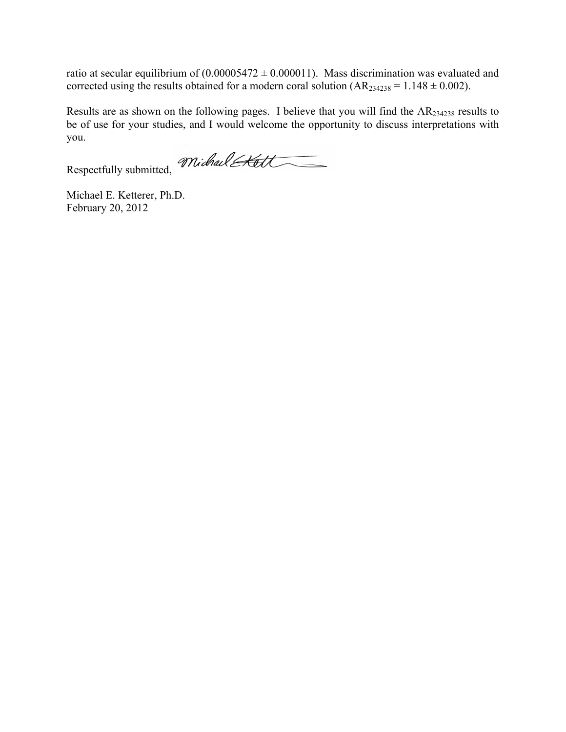ratio at secular equilibrium of  $(0.00005472 \pm 0.000011)$ . Mass discrimination was evaluated and corrected using the results obtained for a modern coral solution  $(AR<sub>234238</sub> = 1.148 \pm 0.002)$ .

Results are as shown on the following pages. I believe that you will find the AR234238 results to be of use for your studies, and I would welcome the opportunity to discuss interpretations with you.

Respectfully submitted, Michael Att

Michael E. Ketterer, Ph.D. February 20, 2012